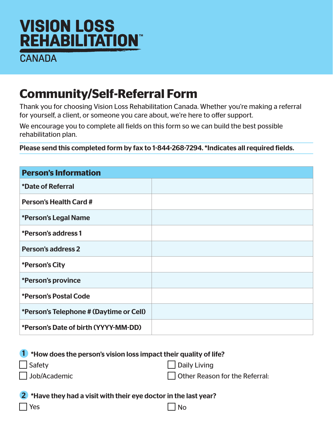## **VISION LOSS REHABILITATION**

**CANADA** 

## **Community/Self-Referral Form**

Thank you for choosing Vision Loss Rehabilitation Canada. Whether you're making a referral for yourself, a client, or someone you care about, we're here to offer support.

We encourage you to complete all fields on this form so we can build the best possible rehabilitation plan.

Please send this completed form by fax to 1-844-268-7294. \*Indicates all required fields.

| <b>Person's Information</b>             |  |
|-----------------------------------------|--|
| <i>*Date of Referral</i>                |  |
| <b>Person's Health Card #</b>           |  |
| *Person's Legal Name                    |  |
| *Person's address 1                     |  |
| <b>Person's address 2</b>               |  |
| *Person's City                          |  |
| *Person's province                      |  |
| *Person's Postal Code                   |  |
| *Person's Telephone # (Daytime or Cell) |  |
| *Person's Date of birth (YYYY-MM-DD)    |  |

| <sup>1</sup> *How does the person's vision loss impact their quality of life? |                                       |
|-------------------------------------------------------------------------------|---------------------------------------|
| Safety                                                                        | Daily Living                          |
| Job/Academic                                                                  | $\Box$ Other Reason for the Referral: |

2 \*Have they had a visit with their eye doctor in the last year?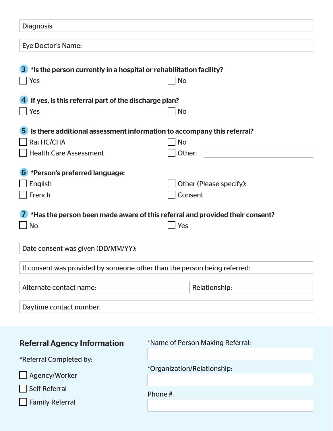| Diagnosis:                                                                              |                                                                              |
|-----------------------------------------------------------------------------------------|------------------------------------------------------------------------------|
| Eye Doctor's Name:                                                                      |                                                                              |
|                                                                                         |                                                                              |
| *Is the person currently in a hospital or rehabilitation facility?<br>$\vert 3 \rangle$ |                                                                              |
| Yes                                                                                     | <b>No</b>                                                                    |
| If yes, is this referral part of the discharge plan?                                    |                                                                              |
| Yes                                                                                     | <b>No</b>                                                                    |
| Is there additional assessment information to accompany this referral?<br>5.            |                                                                              |
| Rai HC/CHA                                                                              | <b>No</b>                                                                    |
| <b>Health Care Assessment</b>                                                           | Other:                                                                       |
| *Person's preferred language:<br>$\vert 6 \rangle$                                      |                                                                              |
| English                                                                                 | Other (Please specify):                                                      |
| French                                                                                  | Consent                                                                      |
|                                                                                         |                                                                              |
|                                                                                         | *Has the person been made aware of this referral and provided their consent? |
| <b>No</b>                                                                               | Yes                                                                          |
|                                                                                         |                                                                              |
| Date consent was given (DD/MM/YY):                                                      |                                                                              |
| If consent was provided by someone other than the person being referred:                |                                                                              |
|                                                                                         |                                                                              |
| Alternate contact name:                                                                 | Relationship:                                                                |
| Daytime contact number:                                                                 |                                                                              |
|                                                                                         |                                                                              |
|                                                                                         |                                                                              |
| <b>Referral Agency Information</b>                                                      | *Name of Person Making Referral:                                             |
| *Referral Completed by:                                                                 |                                                                              |
| Agency/Worker                                                                           | *Organization/Relationship:                                                  |
| Self-Referral                                                                           |                                                                              |
|                                                                                         |                                                                              |
| <b>Family Referral</b>                                                                  | Phone #:                                                                     |